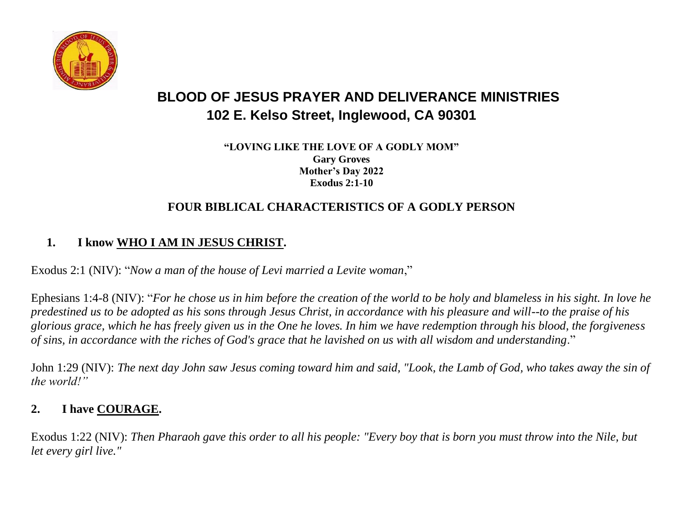

# **BLOOD OF JESUS PRAYER AND DELIVERANCE MINISTRIES 102 E. Kelso Street, Inglewood, CA 90301**

**"LOVING LIKE THE LOVE OF A GODLY MOM" Gary Groves Mother's Day 2022 Exodus 2:1-10**

## **FOUR BIBLICAL CHARACTERISTICS OF A GODLY PERSON**

## **1. I know WHO I AM IN JESUS CHRIST.**

Exodus 2:1 (NIV): "*Now a man of the house of Levi married a Levite woman*,"

Ephesians 1:4-8 (NIV): "*For he chose us in him before the creation of the world to be holy and blameless in his sight. In love he predestined us to be adopted as his sons through Jesus Christ, in accordance with his pleasure and will--to the praise of his glorious grace, which he has freely given us in the One he loves. In him we have redemption through his blood, the forgiveness of sins, in accordance with the riches of God's grace that he lavished on us with all wisdom and understanding*."

John 1:29 (NIV): *The next day John saw Jesus coming toward him and said, "Look, the Lamb of God, who takes away the sin of the world!"*

# **2. I have COURAGE.**

Exodus 1:22 (NIV): *Then Pharaoh gave this order to all his people: "Every boy that is born you must throw into the Nile, but let every girl live."*